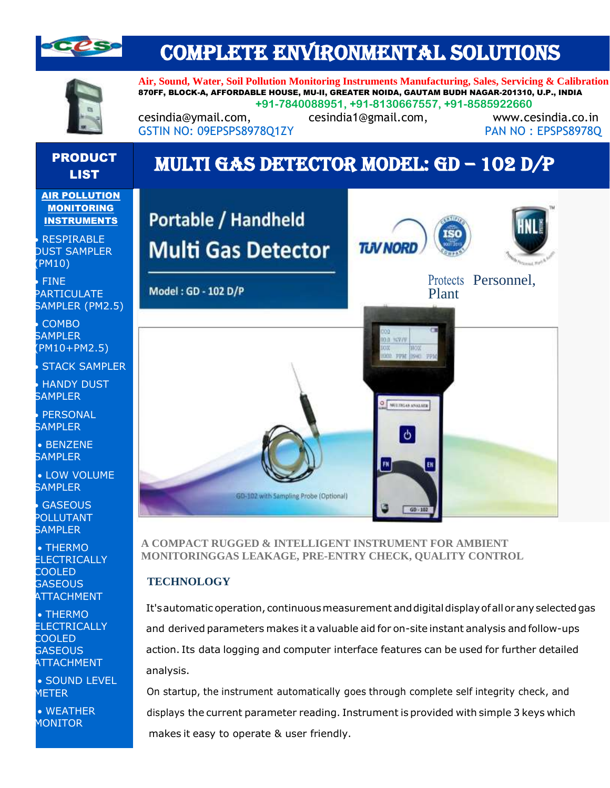

## COMPLETE ENVIRONMENTAL SOLUTIONS



**Air, Sound, Water, Soil Pollution Monitoring Instruments Manufacturing, Sales, Servicing & Calibration** 870FF, BLOCK-A, AFFORDABLE HOUSE, MU-II, GREATER NOIDA, GAUTAM BUDH NAGAR-201310, U.P., INDIA **+91-7840088951, +91-8130667557, +91-8585922660**

cesindia@ymail.com, cesindia1@gmail.com, www.cesindia.co.in GSTIN NO: 09EPSPS8978O1ZY PAN NO : EPSPS8978Q

# PRODUCT

# <sup>CODUCT</sup> MULTI GAS DETECTOR MODEL: GD – 102 D/P

**AIR POLLUTION MONITORING INSTRUMENTS** 

• • RESPIRABLE DUST SAMPLER (PM10)

• • FINE PARTICULATE SAMPLER (PM2.5)

• • COMBO **SAMPLER** (PM10+PM2.5)

**STACK SAMPLER** 

**HANDY DUST** SAMPI FR

**PERSONAL SAMPLER** 

• • BENZENE SAMPI FR

• LOW VOLUME **SAMPLER** 

**GASEOUS** POLLUTANT **SAMPLER** 

• • THERMO ELECTRICALLY COOLED **GASEOUS ATTACHMENT** 

• • THERMO **ELECTRICALLY** COOLED **GASEOUS ATTACHMENT** 

• • SOUND LEVEL METER

• WEATHER **MONITOR** 



**A COMPACT RUGGED & INTELLIGENT INSTRUMENT FOR AMBIENT MONITORINGGAS LEAKAGE, PRE-ENTRY CHECK, QUALITY CONTROL**

#### **TECHNOLOGY**

It's automatic operation, continuous measurement and digital display of all or any selected gas and derived parameters makes it a valuable aid for on-site instant analysis and follow-ups action. Its data logging and computer interface features can be used for further detailed analysis.

On startup, the instrument automatically goes through complete self integrity check, and displays the current parameter reading. Instrument is provided with simple 3 keys which makes it easy to operate & user friendly.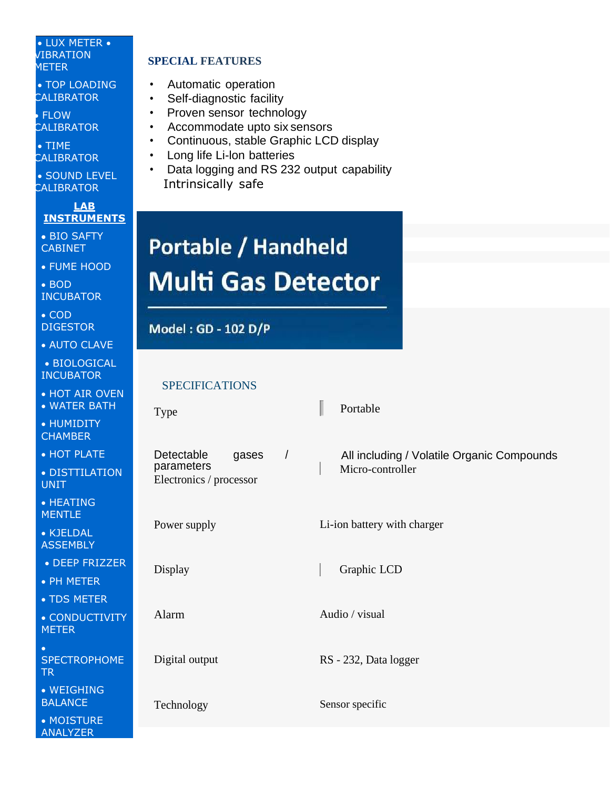#### • LUX METER • VIBRATION METER

• TOP LOADING **CALIBRATOR** 

• • FLOW **CALIBRATOR** 

• • TIME **CALIBRATOR** 

• SOUND LEVEL **CALIBRATOR** 

**LAB INSTRUMENTS**

• BIO SAFTY CABINET

• FUME HOOD

• BOD INCUBATOR

• COD DIGESTOR

• AUTO CLAVE

• BIOLOGICAL INCUBATOR

• HOT AIR OVEN • WATER BATH

• HUMIDITY **CHAMBER** 

• HOT PLATE • DISTTILATION

UNIT • HEATING

**MENTLE** • KJELDAL **ASSEMBLY** 

• DEEP FRIZZER

• PH METER

• TDS METER

• CONDUCTIVITY **METER** 

• SPECTROPHOME TR

• WEIGHING BALANCE

• MOISTURE ANALYZER

### **SPECIAL FEATURES**

- Automatic operation
- Self-diagnostic facility
- Proven sensor technology
- Accommodate upto six sensors
- Continuous, stable Graphic LCD display
- Long life Li-lon batteries
- Data logging and RS 232 output capability Intrinsically safe

# **Portable / Handheld Multi Gas Detector**

## Model: GD - 102 D/P

### SPECIFICATIONS

| <b>Type</b>                                                                | Portable                                                       |
|----------------------------------------------------------------------------|----------------------------------------------------------------|
| $\sqrt{ }$<br>Detectable<br>gases<br>parameters<br>Electronics / processor | All including / Volatile Organic Compounds<br>Micro-controller |
| Power supply                                                               | Li-ion battery with charger                                    |
| Display                                                                    | Graphic LCD                                                    |
| Alarm                                                                      | Audio / visual                                                 |
| Digital output                                                             | RS - 232, Data logger                                          |
| Technology                                                                 | Sensor specific                                                |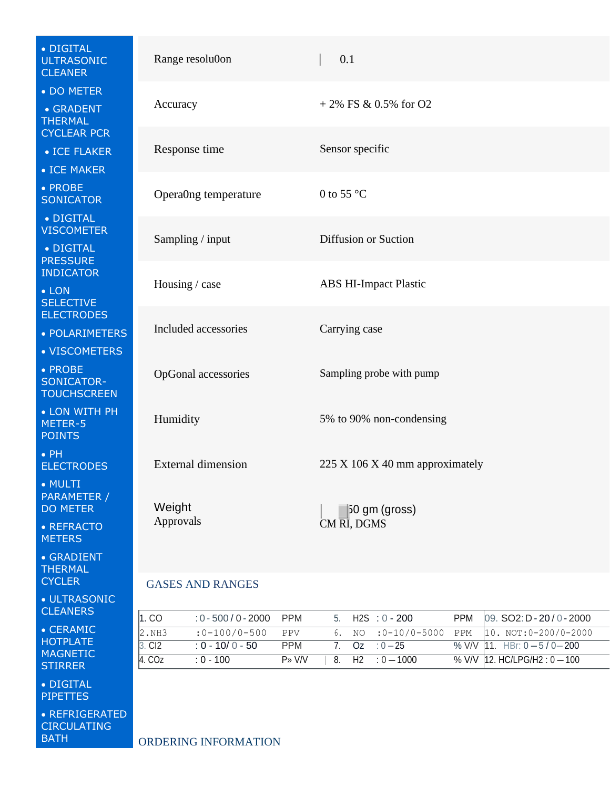| • DIGITAL<br><b>ULTRASONIC</b><br><b>CLEANER</b>                | Range resolu0on                                                               | 0.1                                                                                                                               |  |
|-----------------------------------------------------------------|-------------------------------------------------------------------------------|-----------------------------------------------------------------------------------------------------------------------------------|--|
| • DO METER<br>• GRADENT<br><b>THERMAL</b>                       | Accuracy                                                                      | $+2\%$ FS & 0.5% for O2                                                                                                           |  |
| <b>CYCLEAR PCR</b><br>• ICE FLAKER<br>• ICE MAKER               | Response time                                                                 | Sensor specific                                                                                                                   |  |
| • PROBE<br><b>SONICATOR</b>                                     | Opera0ng temperature                                                          | 0 to 55 $^{\circ}$ C                                                                                                              |  |
| • DIGITAL<br><b>VISCOMETER</b><br>• DIGITAL                     | Sampling / input                                                              | <b>Diffusion or Suction</b>                                                                                                       |  |
| <b>PRESSURE</b><br><b>INDICATOR</b><br>$\bullet$ LON            | Housing / case                                                                | <b>ABS HI-Impact Plastic</b>                                                                                                      |  |
| <b>SELECTIVE</b><br><b>ELECTRODES</b><br>• POLARIMETERS         | Included accessories                                                          | Carrying case                                                                                                                     |  |
| • VISCOMETERS<br>• PROBE<br>SONICATOR-                          | OpGonal accessories                                                           | Sampling probe with pump                                                                                                          |  |
| <b>TOUCHSCREEN</b><br>• LON WITH PH<br>METER-5<br><b>POINTS</b> | Humidity                                                                      | 5% to 90% non-condensing                                                                                                          |  |
| $\bullet$ PH<br><b>ELECTRODES</b>                               | <b>External dimension</b>                                                     | 225 X 106 X 40 mm approximately                                                                                                   |  |
| • MULTI<br>PARAMETER /<br><b>DO METER</b>                       | Weight                                                                        | $ 50 \text{ gm (gross)}$                                                                                                          |  |
| • REFRACTO<br><b>METERS</b>                                     | Approvals                                                                     | CM RI, DGMS                                                                                                                       |  |
| • GRADIENT<br><b>THERMAL</b><br><b>CYCLER</b>                   | <b>GASES AND RANGES</b>                                                       |                                                                                                                                   |  |
| · ULTRASONIC<br><b>CLEANERS</b>                                 |                                                                               |                                                                                                                                   |  |
| • CERAMIC                                                       | 1.CO<br>$:0 - 500 / 0 - 2000$<br><b>PPM</b><br>2.NH3<br>$:0-100/0-500$<br>PPV | $H2S : 0 - 200$<br><b>PPM</b><br>09. SO2: D - 20 / 0 - 2000<br>5.<br>$10. NOT: 0-200/0-2000$<br>$:0-10/0-5000$<br>6.<br>PPM<br>NO |  |
| <b>HOTPLATE</b>                                                 | $3.$ CI <sub>2</sub><br>$: 0 - 10/0 - 50$<br><b>PPM</b>                       | 11. HBr: $0 - 5/0 - 200$<br>7.<br>Oz<br>$: 0 - 25$<br>$%$ V/V                                                                     |  |
| <b>MAGNETIC</b><br><b>STIRRER</b>                               | 4. COZ<br>$: 0 - 100$<br>$P*V/V$                                              | 12. HC/LPG/H2: $0 - 100$<br>H2<br>$: 0 - 1000$<br>% V/V<br>8.                                                                     |  |
| • DIGITAL<br><b>PIPETTES</b>                                    |                                                                               |                                                                                                                                   |  |
| • REFRIGERATED<br><b>CIRCULATING</b><br><b>BATH</b>             | ORDERING INFORMATION                                                          |                                                                                                                                   |  |